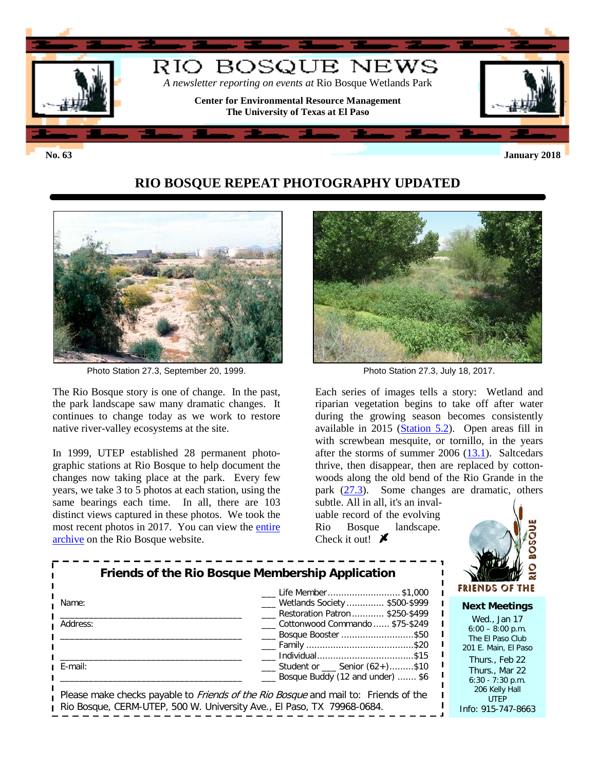

## **RIO BOSQUE REPEAT PHOTOGRAPHY UPDATED**



Photo Station 27.3, September 20, 1999. Photo Station 27.3, July 18, 2017.

The Rio Bosque story is one of change. In the past, the park landscape saw many dramatic changes. It continues to change today as we work to restore native river-valley ecosystems at the site.

In 1999, UTEP established 28 permanent photographic stations at Rio Bosque to help document the changes now taking place at the park. Every few years, we take 3 to 5 photos at each station, using the same bearings each time. In all, there are 103 distinct views captured in these photos. We took the most recent photos in 2017. You can view the [entire](http://research.utep.edu/Default.aspx?tabid=69284)  [archive](http://research.utep.edu/Default.aspx?tabid=69284) on the Rio Bosque website.



Each series of images tells a story: Wetland and riparian vegetation begins to take off after water during the growing season becomes consistently available in 2015 [\(Station 5.2\)](https://research.utep.edu/Default.aspx?tabid=69383). Open areas fill in with screwbean mesquite, or tornillo, in the years after the storms of summer  $2006$   $(13.1)$ . Saltcedars thrive, then disappear, then are replaced by cottonwoods along the old bend of the Rio Grande in the park [\(27.3\)](https://research.utep.edu/Default.aspx?tabid=71309). Some changes are dramatic, others

subtle. All in all, it's an invaluable record of the evolving Rio Bosque landscape. Check it out!  $\blacktriangleright$ 



#### **Next Meetings**

Wed., Jan 17  $6:00 - 8:00$  p.m. The El Paso Club 201 E. Main, El Paso Thurs., Feb 22 Thurs., Mar 22 6:30 - 7:30 p.m. 206 Kelly Hall UTEP Info: 915-747-8663

| Friends of the Rio Bosque Membership Application |                                                                                                            |  |  |  |  |  |  |
|--------------------------------------------------|------------------------------------------------------------------------------------------------------------|--|--|--|--|--|--|
| Name:                                            | Life Member \$1,000<br>Wetlands Society  \$500-\$999<br>Restoration Patron  \$250-\$499                    |  |  |  |  |  |  |
| Address:                                         | Cottonwood Commando  \$75-\$249<br>Bosque Booster \$50<br>____ Family ……………………………………\$20<br>Individual\$15 |  |  |  |  |  |  |
| ı E-mail:                                        | Student or Senior (62+)\$10<br>Bosque Buddy (12 and under)  \$6                                            |  |  |  |  |  |  |
|                                                  | Please make checks payable to <i>Friends of the Rio Bosque</i> and mail to: Friends of the                 |  |  |  |  |  |  |

Rio Bosque, CERM-UTEP, 500 W. University Ave., El Paso, TX 79968-0684.